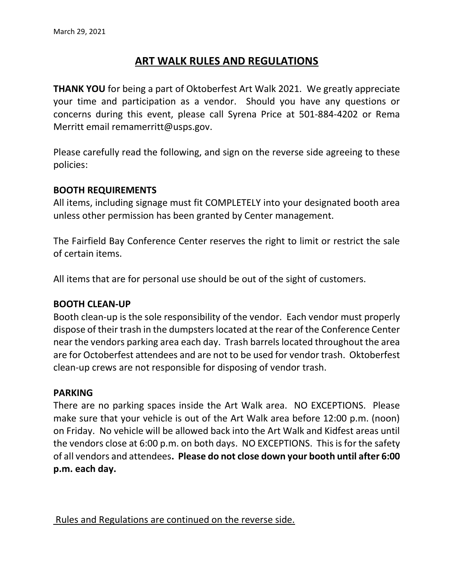# ART WALK RULES AND REGULATIONS

**THANK YOU** for being a part of Oktoberfest Art Walk 2021. We greatly appreciate your time and participation as a vendor. Should you have any questions or concerns during this event, please call Syrena Price at 501-884-4202 or Rema Merritt email remamerritt@usps.gov.

Please carefully read the following, and sign on the reverse side agreeing to these policies:

## BOOTH REQUIREMENTS

All items, including signage must fit COMPLETELY into your designated booth area unless other permission has been granted by Center management.

The Fairfield Bay Conference Center reserves the right to limit or restrict the sale of certain items.

All items that are for personal use should be out of the sight of customers.

## BOOTH CLEAN-UP

Booth clean-up is the sole responsibility of the vendor. Each vendor must properly dispose of their trash in the dumpsters located at the rear of the Conference Center near the vendors parking area each day. Trash barrels located throughout the area are for Octoberfest attendees and are not to be used for vendor trash. Oktoberfest clean-up crews are not responsible for disposing of vendor trash.

## PARKING

There are no parking spaces inside the Art Walk area. NO EXCEPTIONS. Please make sure that your vehicle is out of the Art Walk area before 12:00 p.m. (noon) on Friday. No vehicle will be allowed back into the Art Walk and Kidfest areas until the vendors close at 6:00 p.m. on both days. NO EXCEPTIONS. This is for the safety of all vendors and attendees. Please do not close down your booth until after 6:00 p.m. each day.

Rules and Regulations are continued on the reverse side.